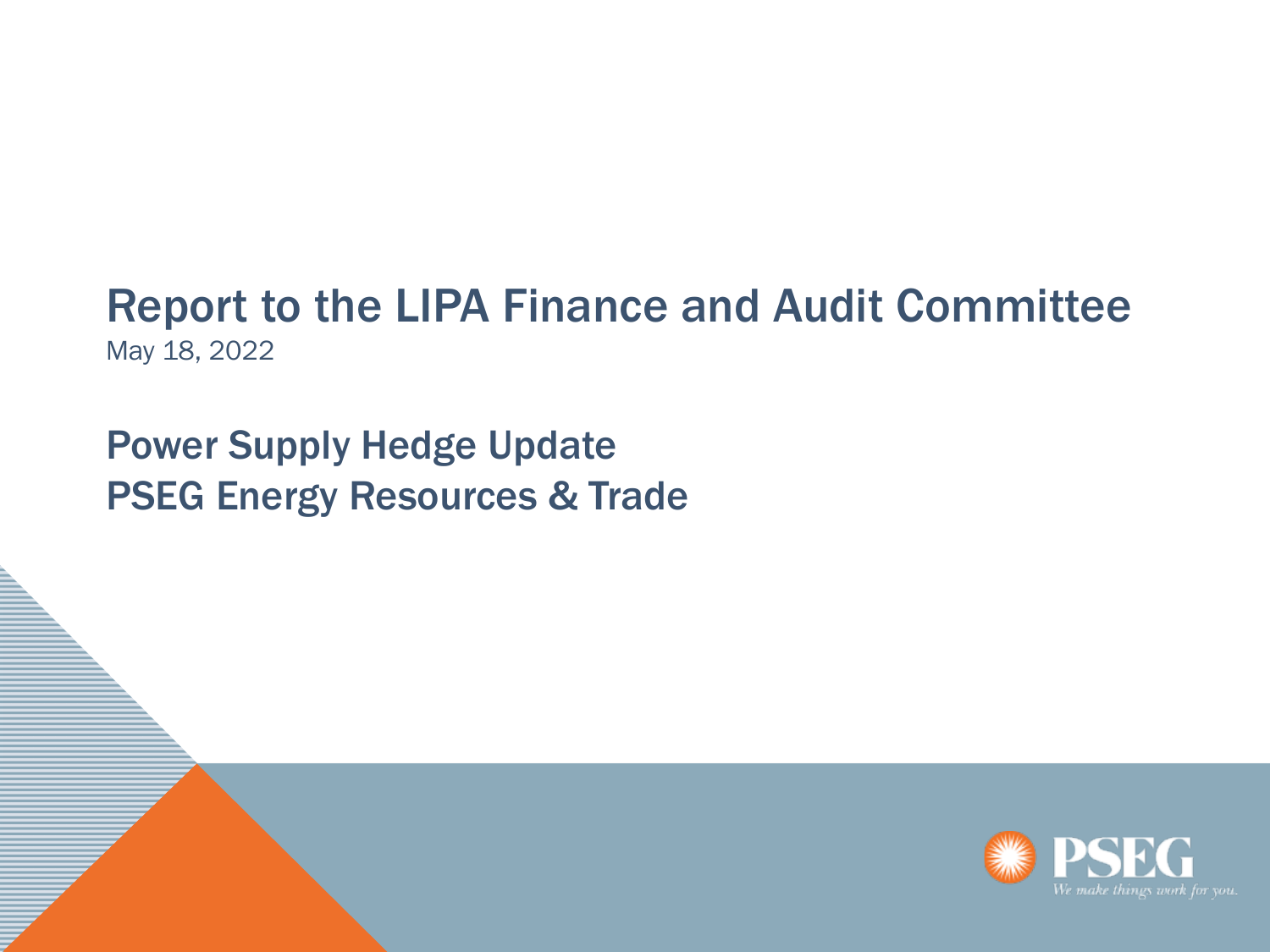#### Report to the LIPA Finance and Audit Committee May 18, 2022

#### Power Supply Hedge Update PSEG Energy Resources & Trade

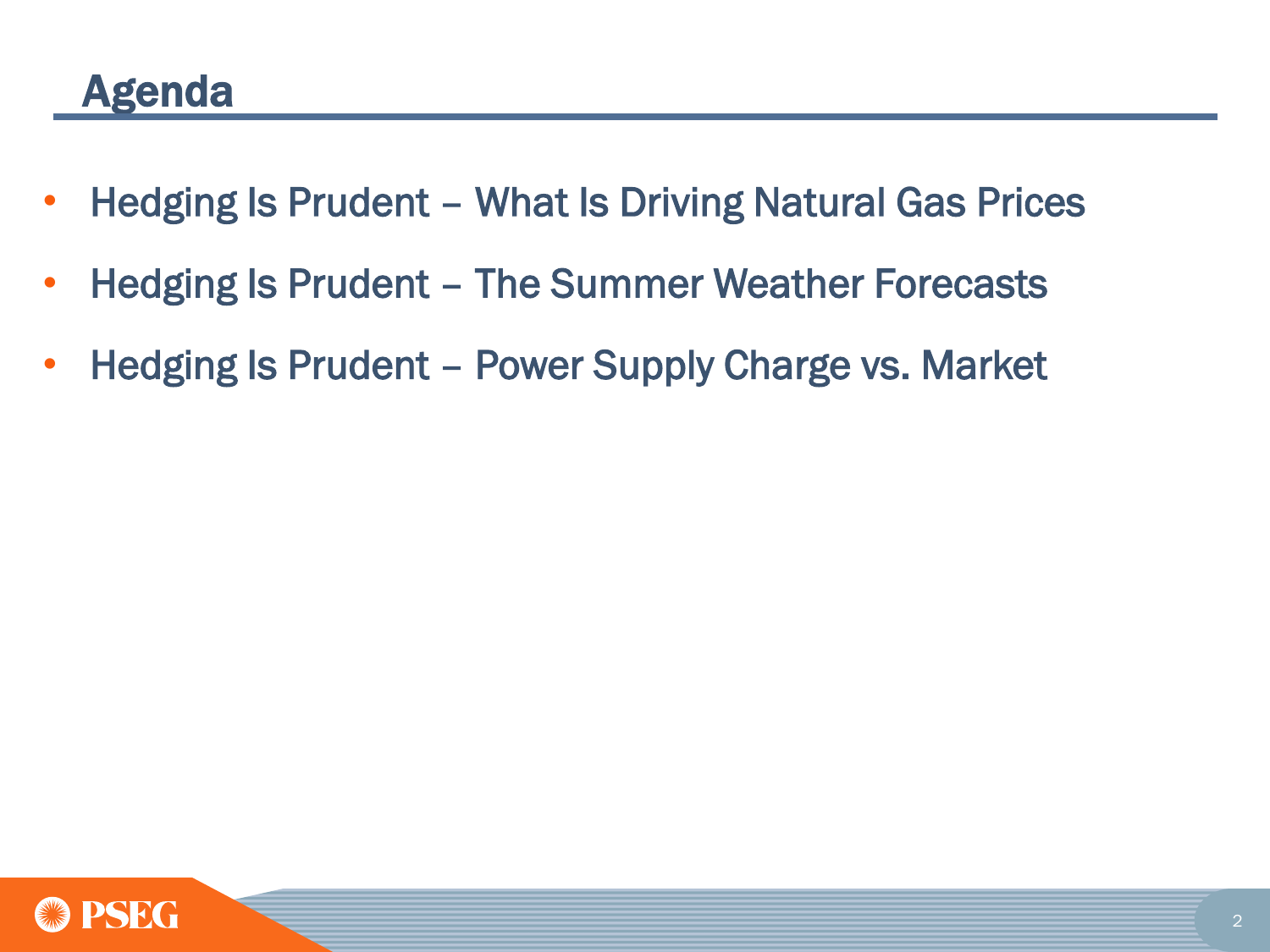- Hedging Is Prudent What Is Driving Natural Gas Prices
- Hedging Is Prudent The Summer Weather Forecasts
- Hedging Is Prudent Power Supply Charge vs. Market

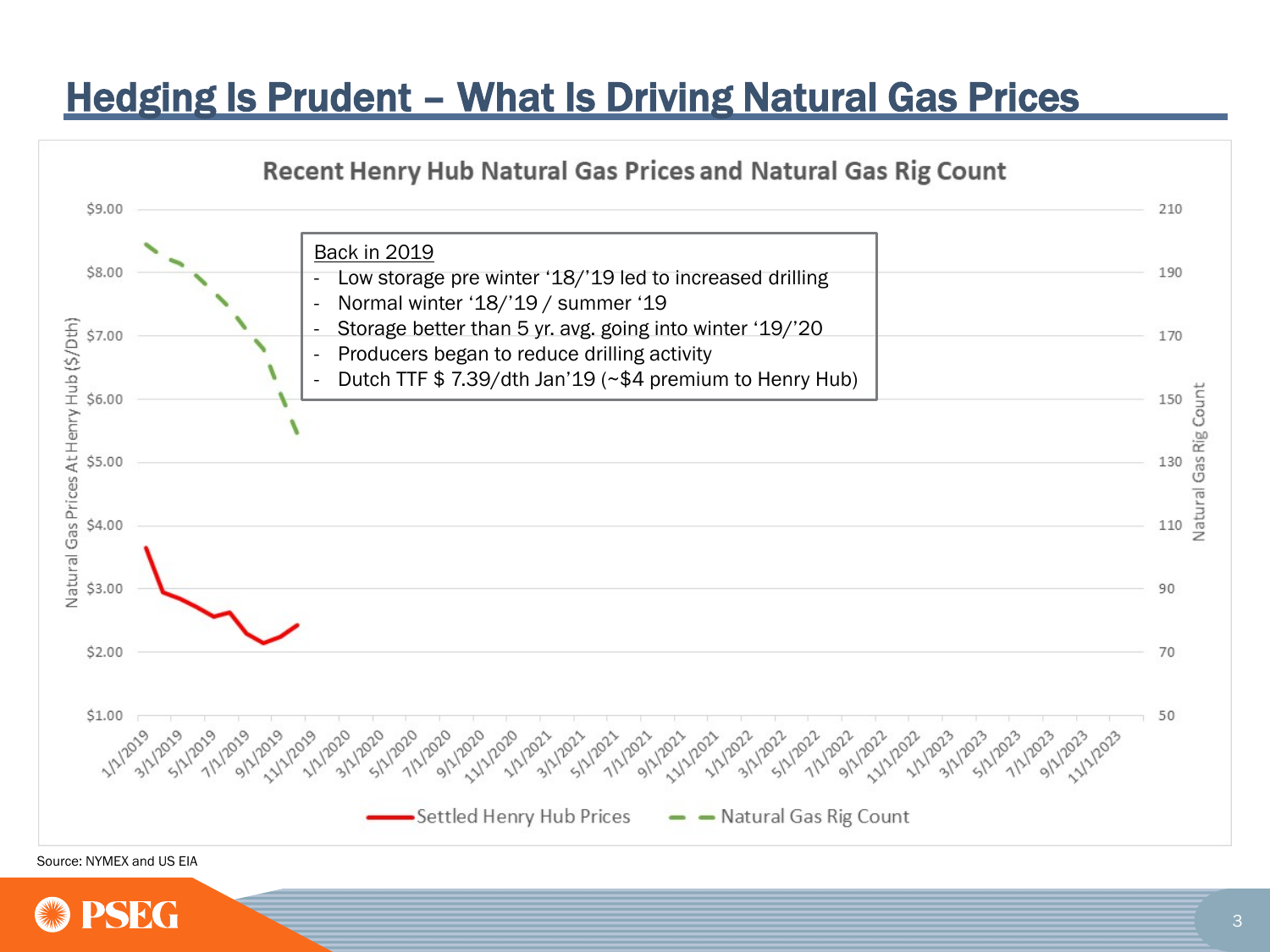

Source: NYMEX and US EIA

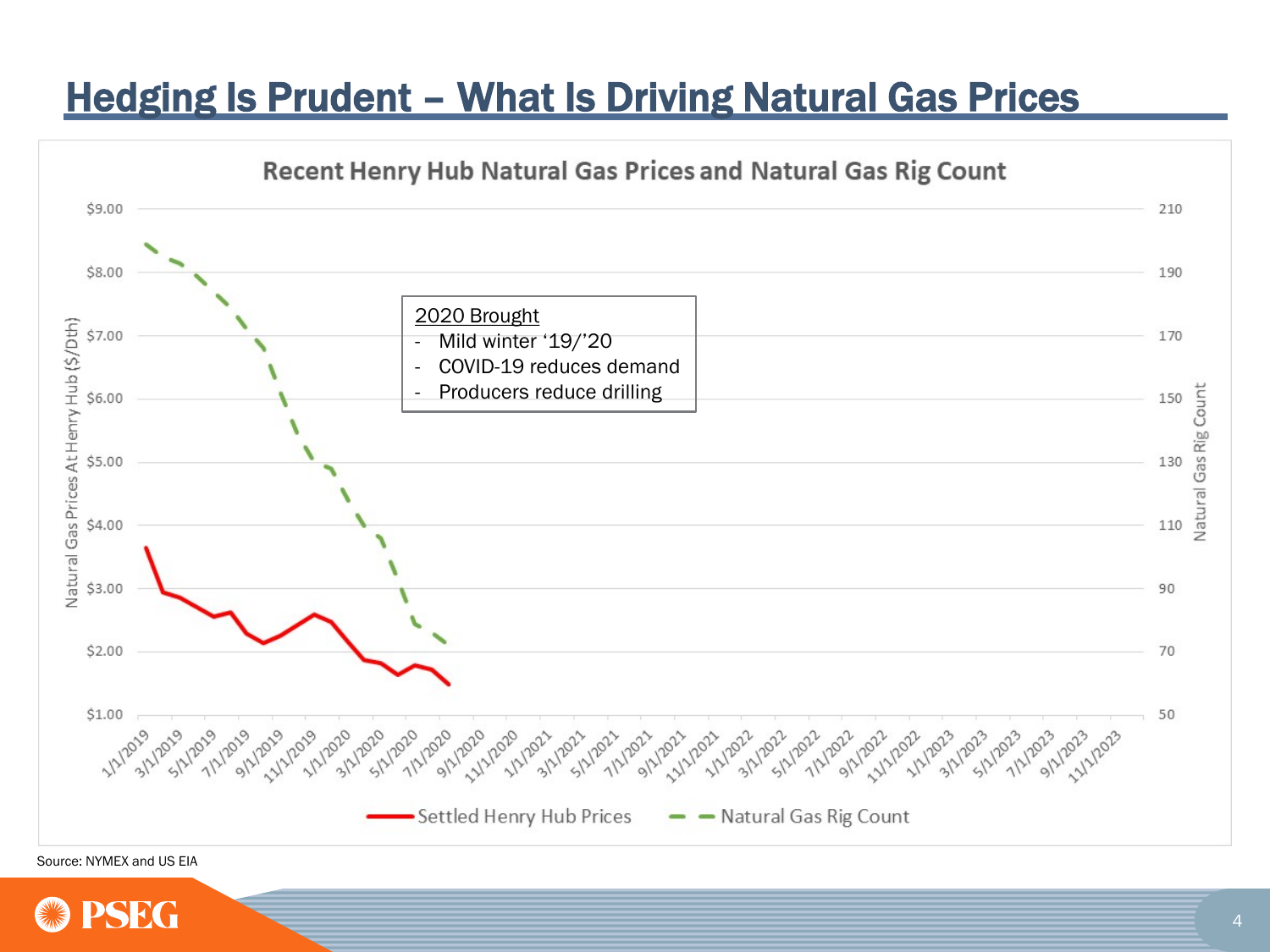

Source: NYMEX and US EIA

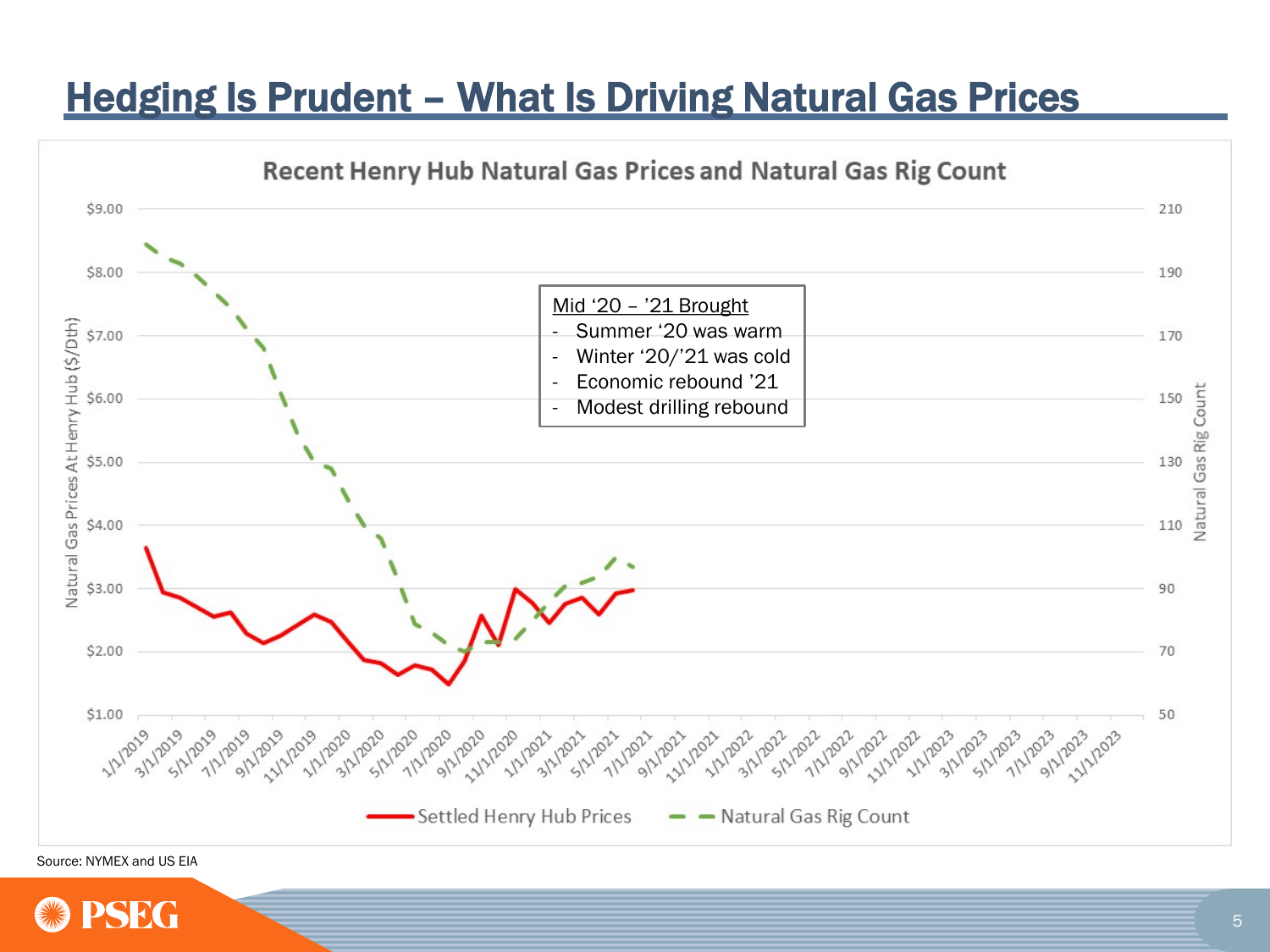

Source: NYMEX and US EIA

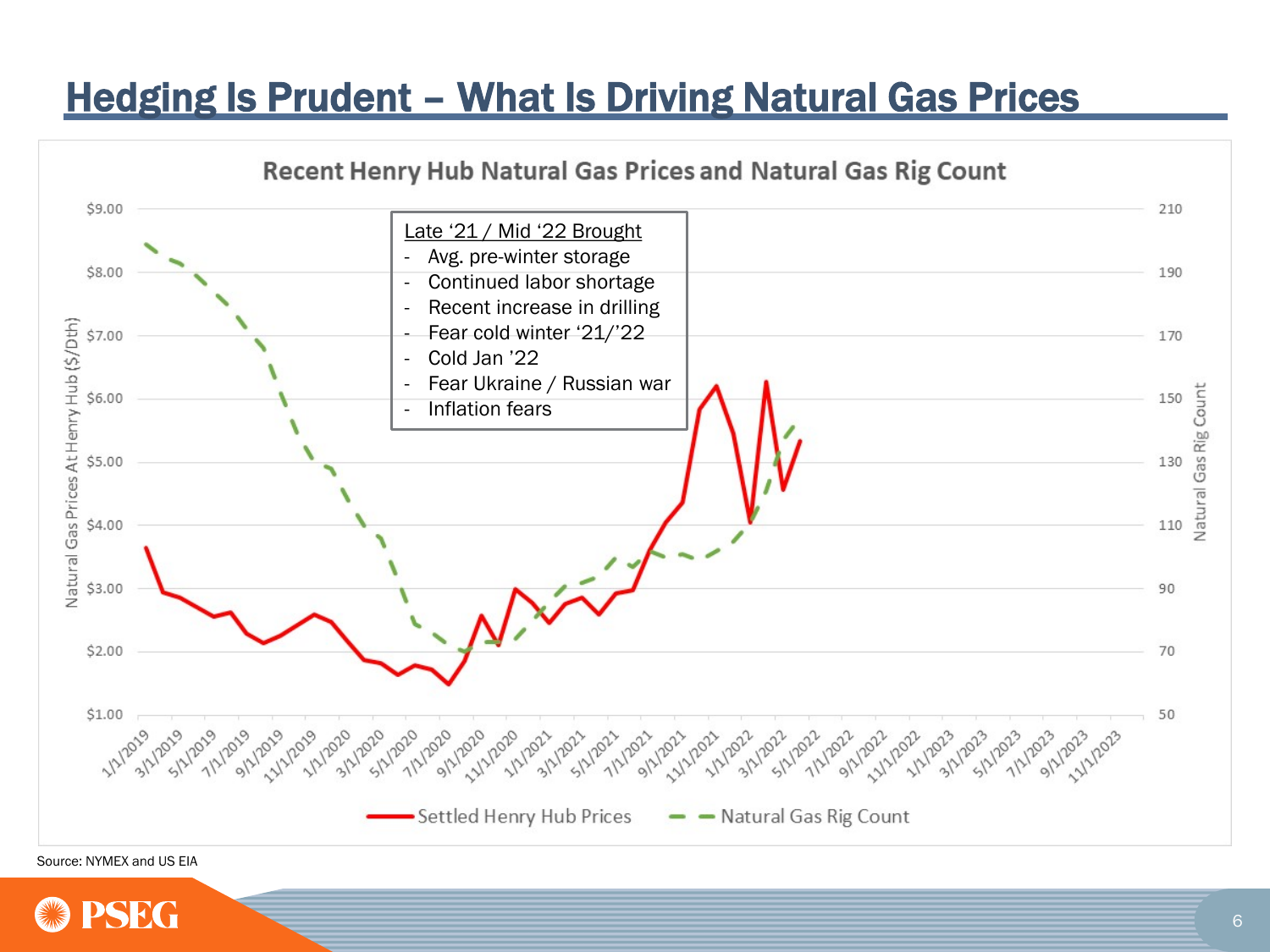

Source: NYMEX and US EIA

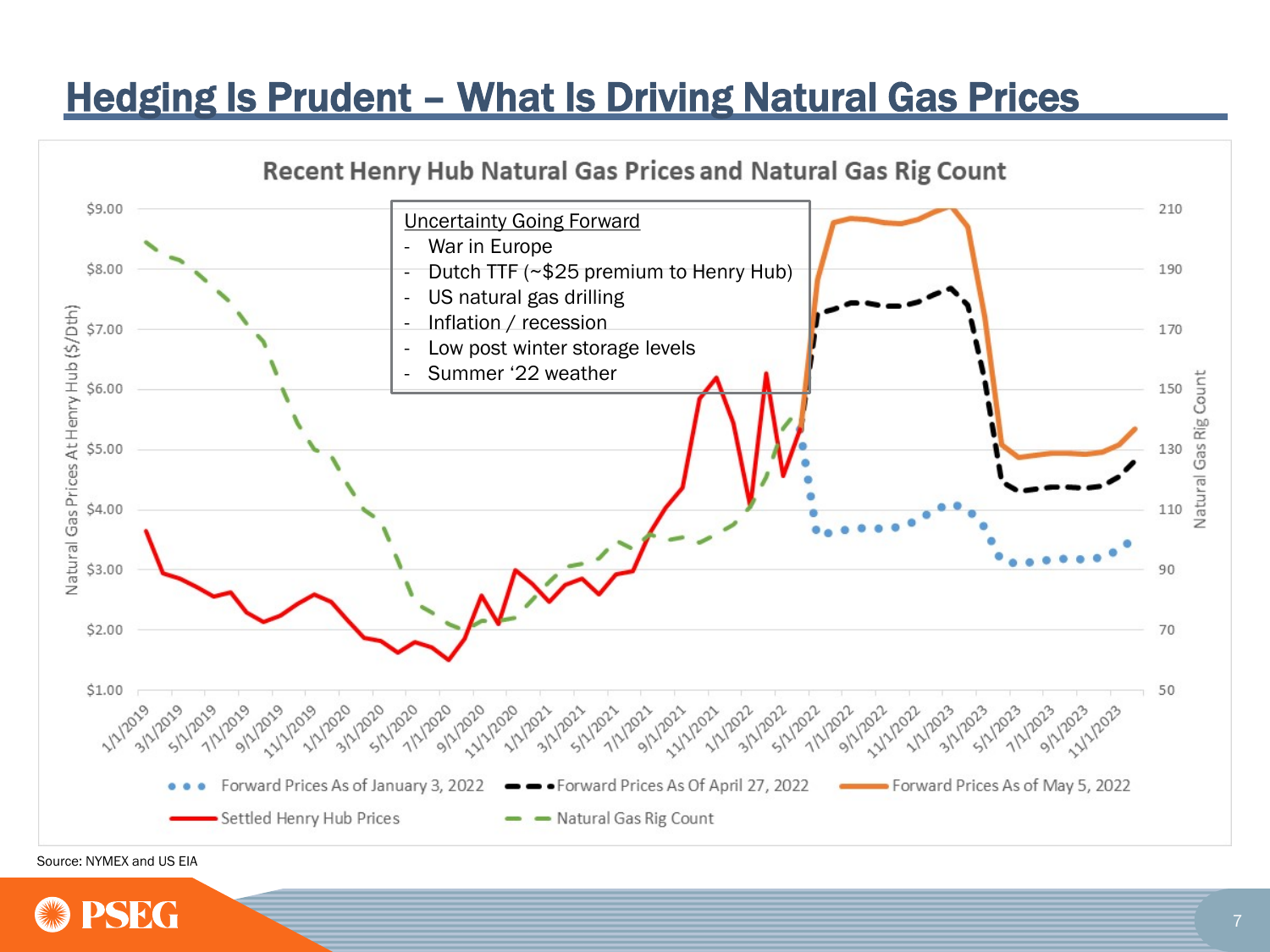

Source: NYMEX and US EIA

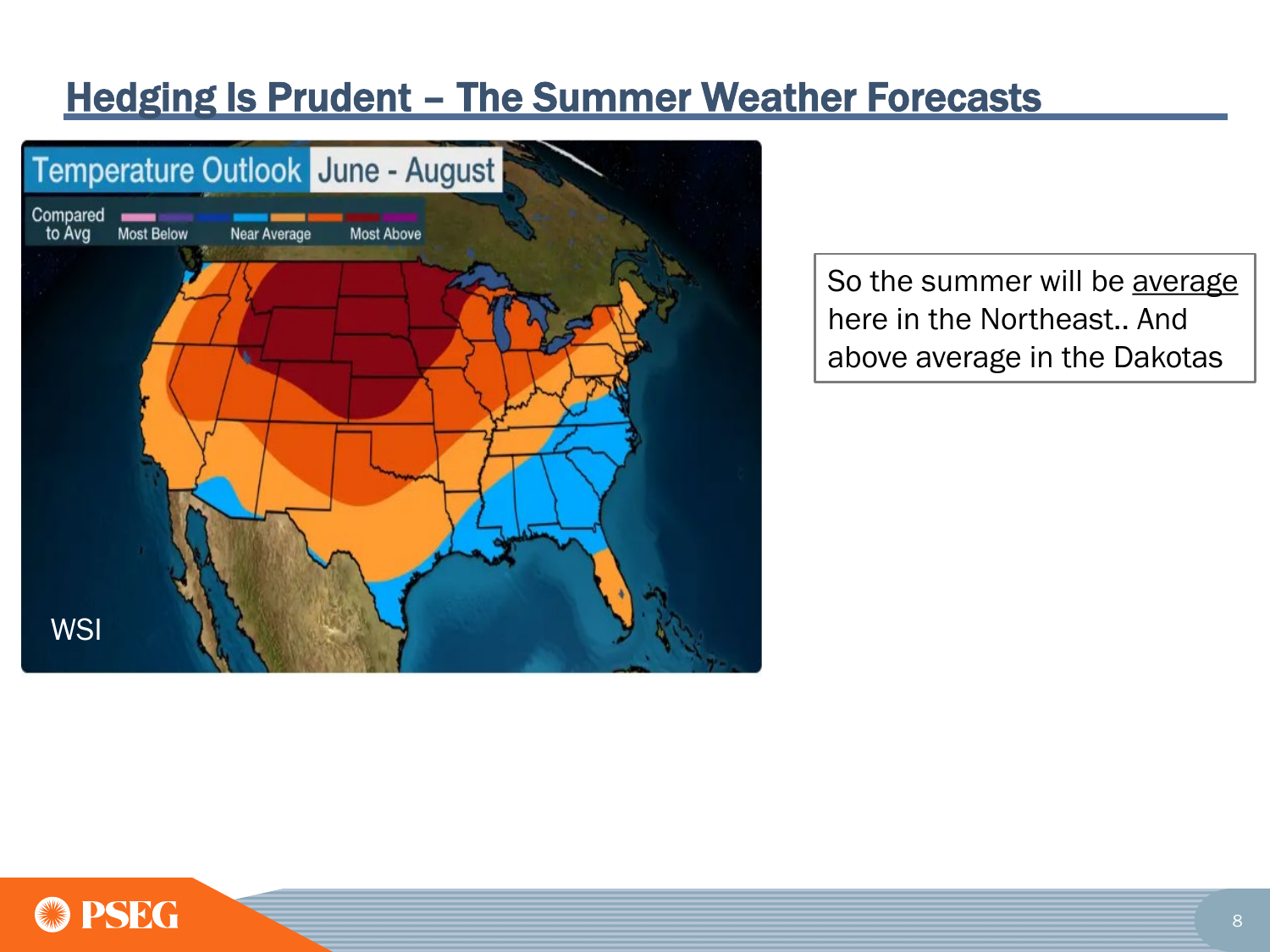#### **Hedging Is Prudent - The Summer Weather Forecasts**



So the summer will be average here in the Northeast.. And above average in the Dakotas

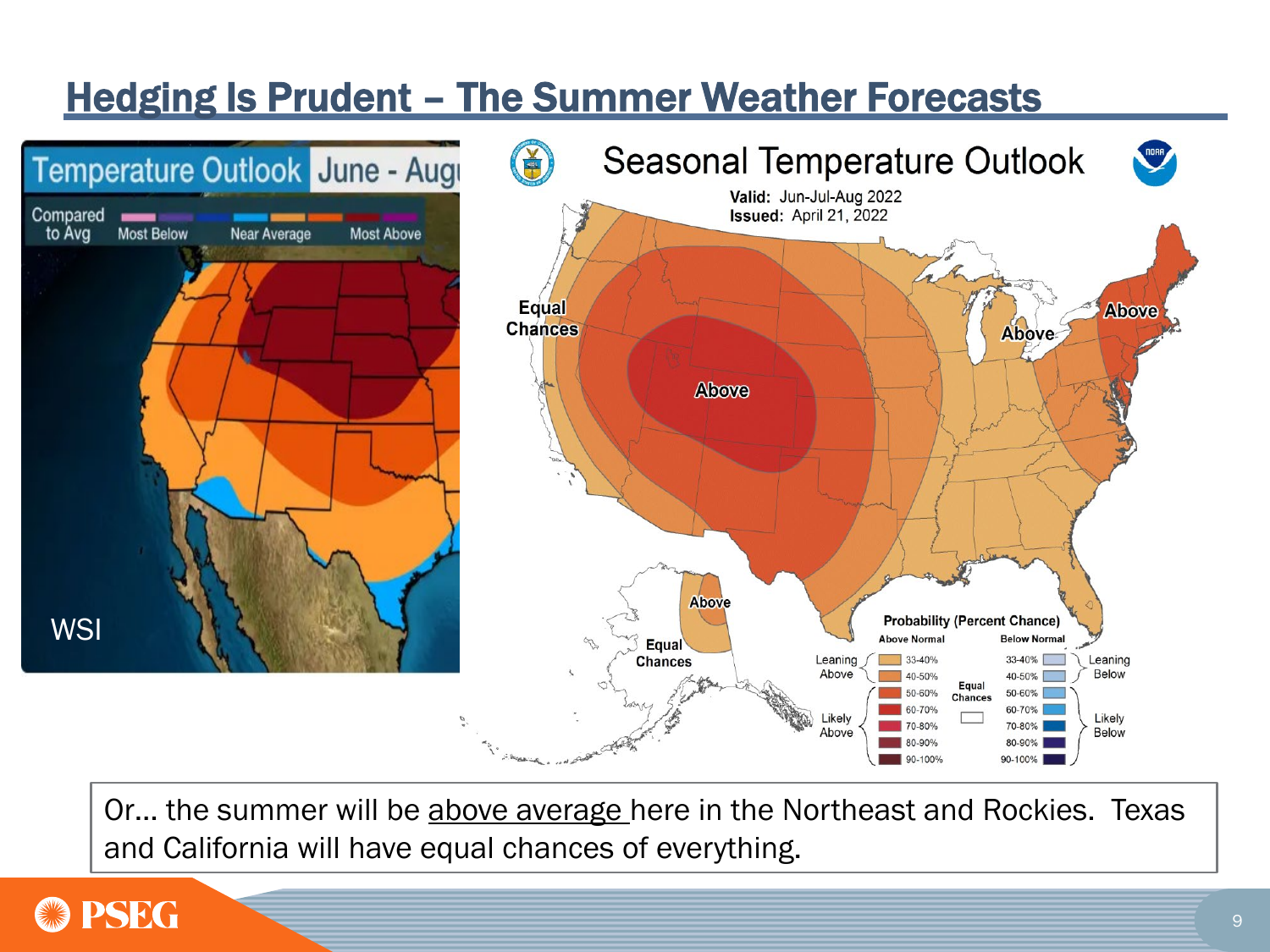# Hedging Is Prudent – The Summer Weather Forecasts



Or... the summer will be above average here in the Northeast and Rockies. Texas and California will have equal chances of everything.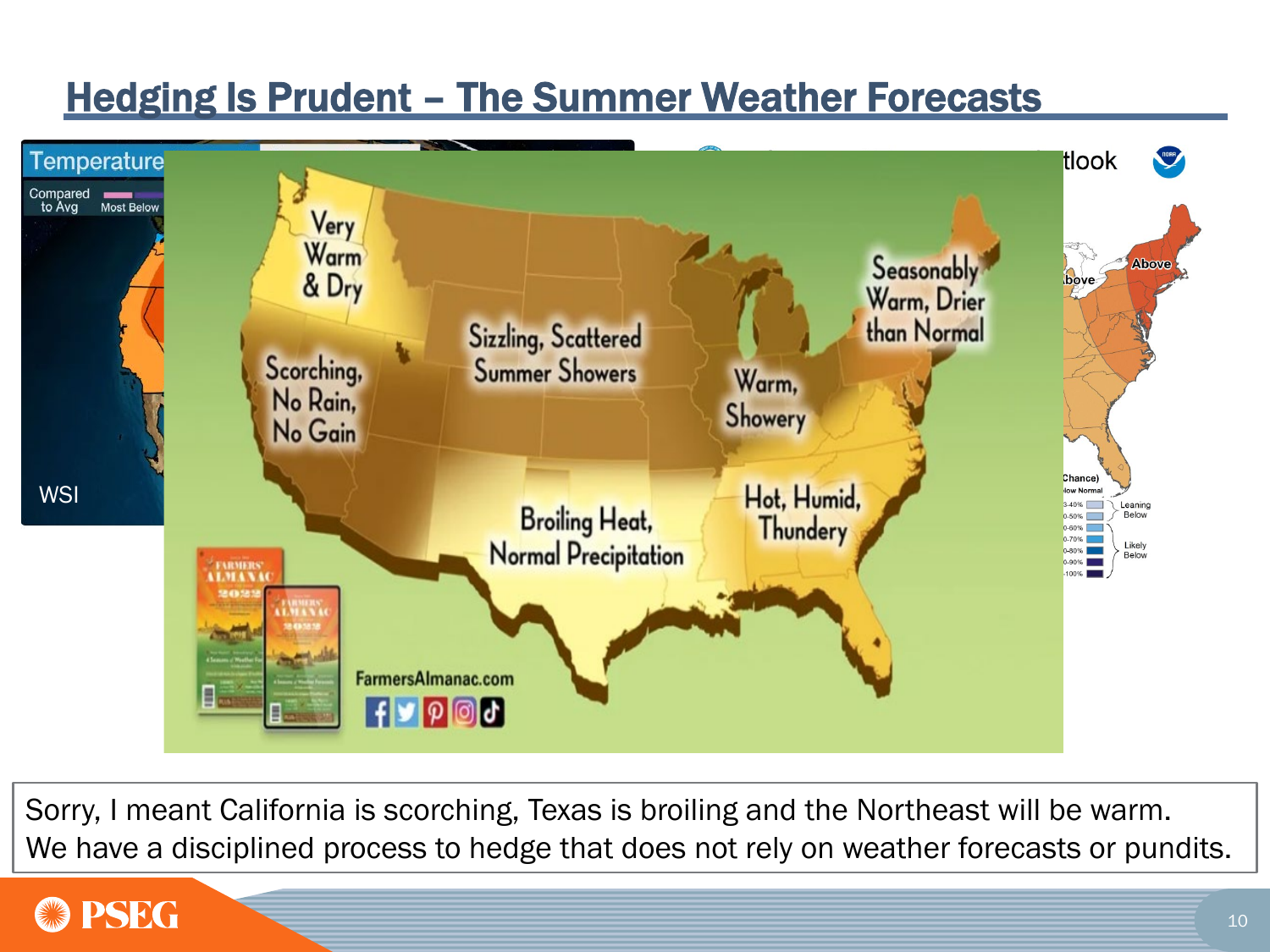# Hedging Is Prudent – The Summer Weather Forecasts



Sorry, I meant California is scorching, Texas is broiling and the Northeast will be warm. We have a disciplined process to hedge that does not rely on weather forecasts or pundits.

# **PSEG**